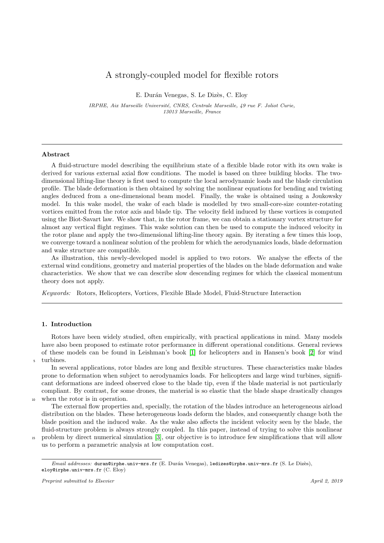# A strongly-coupled model for flexible rotors

E. Durán Venegas, S. Le Dizès, C. Eloy

IRPHE, Aix Marseille Université, CNRS, Centrale Marseille, 49 rue F. Joliot Curie, 13013 Marseille, France

# Abstract

A fluid-structure model describing the equilibrium state of a flexible blade rotor with its own wake is derived for various external axial flow conditions. The model is based on three building blocks. The twodimensional lifting-line theory is first used to compute the local aerodynamic loads and the blade circulation profile. The blade deformation is then obtained by solving the nonlinear equations for bending and twisting angles deduced from a one-dimensional beam model. Finally, the wake is obtained using a Joukowsky model. In this wake model, the wake of each blade is modelled by two small-core-size counter-rotating vortices emitted from the rotor axis and blade tip. The velocity field induced by these vortices is computed using the Biot-Savart law. We show that, in the rotor frame, we can obtain a stationary vortex structure for almost any vertical flight regimes. This wake solution can then be used to compute the induced velocity in the rotor plane and apply the two-dimensional lifting-line theory again. By iterating a few times this loop, we converge toward a nonlinear solution of the problem for which the aerodynamics loads, blade deformation and wake structure are compatible.

As illustration, this newly-developed model is applied to two rotors. We analyse the effects of the external wind conditions, geometry and material properties of the blades on the blade deformation and wake characteristics. We show that we can describe slow descending regimes for which the classical momentum theory does not apply.

Keywords: Rotors, Helicopters, Vortices, Flexible Blade Model, Fluid-Structure Interaction

# 1. Introduction

Rotors have been widely studied, often empirically, with practical applications in mind. Many models have also been proposed to estimate rotor performance in different operational conditions. General reviews of these models can be found in Leishman's book [\[1\]](#page-14-0) for helicopters and in Hansen's book [\[2\]](#page-14-1) for wind <sup>5</sup> turbines.

In several applications, rotor blades are long and flexible structures. These characteristics make blades prone to deformation when subject to aerodynamics loads. For helicopters and large wind turbines, significant deformations are indeed observed close to the blade tip, even if the blade material is not particularly compliant. By contrast, for some drones, the material is so elastic that the blade shape drastically changes <sup>10</sup> when the rotor is in operation.

The external flow properties and, specially, the rotation of the blades introduce an heterogeneous airload distribution on the blades. These heterogeneous loads deform the blades, and consequently change both the blade position and the induced wake. As the wake also affects the incident velocity seen by the blade, the fluid-structure problem is always strongly coupled. In this paper, instead of trying to solve this nonlinear

<sup>15</sup> problem by direct numerical simulation [\[3\]](#page-14-2), our objective is to introduce few simplifications that will allow us to perform a parametric analysis at low computation cost.

Email addresses: duran@irphe.univ-mrs.fr (E. Durán Venegas), ledizes@irphe.univ-mrs.fr (S. Le Dizès), eloy@irphe.univ-mrs.fr (C. Eloy)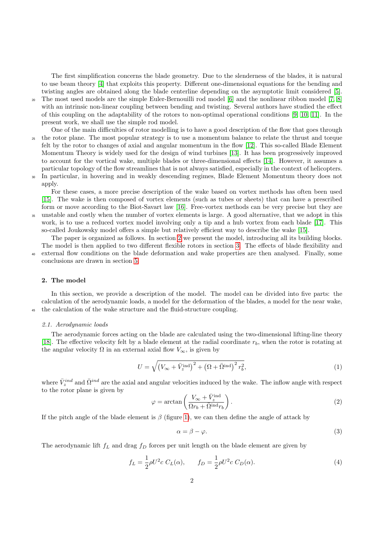The first simplification concerns the blade geometry. Due to the slenderness of the blades, it is natural to use beam theory [\[4\]](#page-14-3) that exploits this property. Different one-dimensional equations for the bending and twisting angles are obtained along the blade centerline depending on the asymptotic limit considered [\[5\]](#page-14-4).

<sup>20</sup> The most used models are the simple Euler-Bernouilli rod model [\[6\]](#page-14-5) and the nonlinear ribbon model [\[7,](#page-14-6) [8\]](#page-14-7) with an intrinsic non-linear coupling between bending and twisting. Several authors have studied the effect of this coupling on the adaptability of the rotors to non-optimal operational conditions [\[9,](#page-14-8) [10,](#page-14-9) [11\]](#page-14-10). In the present work, we shall use the simple rod model.

One of the main difficulties of rotor modelling is to have a good description of the flow that goes through <sup>25</sup> the rotor plane. The most popular strategy is to use a momentum balance to relate the thrust and torque felt by the rotor to changes of axial and angular momentum in the flow [\[12\]](#page-14-11). This so-called Blade Element Momentum Theory is widely used for the design of wind turbines [\[13\]](#page-14-12). It has been progressively improved to account for the vortical wake, multiple blades or three-dimensional effects [\[14\]](#page-14-13). However, it assumes a particular topology of the flow streamlines that is not always satisfied, especially in the context of helicopters. <sup>30</sup> In particular, in hovering and in weakly descending regimes, Blade Element Momentum theory does not

apply.

For these cases, a more precise description of the wake based on vortex methods has often been used [\[15\]](#page-14-14). The wake is then composed of vortex elements (such as tubes or sheets) that can have a prescribed form or move according to the Biot-Savart law [\[16\]](#page-14-15). Free-vortex methods can be very precise but they are <sup>35</sup> unstable and costly when the number of vortex elements is large. A good alternative, that we adopt in this work, is to use a reduced vortex model involving only a tip and a hub vortex from each blade [\[17\]](#page-15-0). This so-called Joukowsky model offers a simple but relatively efficient way to describe the wake [\[15\]](#page-14-14).

The paper is organized as follows. In section [2](#page-1-0) we present the model, introducing all its building blocks. The model is then applied to two different flexible rotors in section [3.](#page-6-0) The effects of blade flexibility and <sup>40</sup> external flow conditions on the blade deformation and wake properties are then analysed. Finally, some conclusions are drawn in section [5.](#page-14-16)

### <span id="page-1-0"></span>2. The model

In this section, we provide a description of the model. The model can be divided into five parts: the calculation of the aerodynamic loads, a model for the deformation of the blades, a model for the near wake, <sup>45</sup> the calculation of the wake structure and the fluid-structure coupling.

### 2.1. Aerodynamic loads

The aerodynamic forces acting on the blade are calculated using the two-dimensional lifting-line theory [\[18\]](#page-15-1). The effective velocity felt by a blade element at the radial coordinate  $r<sub>b</sub>$ , when the rotor is rotating at the angular velocity  $\Omega$  in an external axial flow  $V_{\infty}$ , is given by

<span id="page-1-1"></span>
$$
U = \sqrt{\left(V_{\infty} + \bar{V}_z^{\text{ind}}\right)^2 + \left(\Omega + \bar{\Omega}^{\text{ind}}\right)^2 r_b^2},\tag{1}
$$

where  $\bar{V}_z^{ind}$  and  $\bar{\Omega}^{ind}$  are the axial and angular velocities induced by the wake. The inflow angle with respect to the rotor plane is given by

$$
\varphi = \arctan\left(\frac{V_{\infty} + \bar{V}_z^{\text{ind}}}{\Omega r_b + \bar{\Omega}^{\text{ind}} r_b}\right). \tag{2}
$$

If the pitch angle of the blade element is  $\beta$  (figure [1\)](#page-2-0), we can then define the angle of attack by

$$
\alpha = \beta - \varphi. \tag{3}
$$

The aerodynamic lift  $f_L$  and drag  $f_D$  forces per unit length on the blade element are given by

$$
f_L = \frac{1}{2} \rho U^2 c \ C_L(\alpha), \qquad f_D = \frac{1}{2} \rho U^2 c \ C_D(\alpha). \tag{4}
$$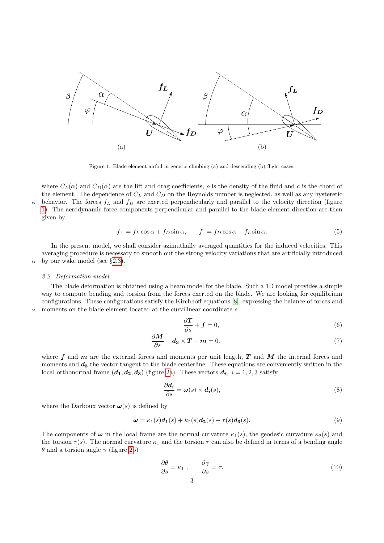

<span id="page-2-0"></span>Figure 1: Blade element airfoil in generic climbing (a) and descending (b) flight cases.

where  $C_L(\alpha)$  and  $C_D(\alpha)$  are the lift and drag coefficients,  $\rho$  is the density of the fluid and c is the chord of the element. The dependence of  $C_L$  and  $C_D$  on the Reynolds number is neglected, as well as any hysteretic <sub>50</sub> behavior. The forces  $f_L$  and  $f_D$  are exerted perpendicularly and parallel to the velocity direction (figure [1\)](#page-2-0). The aerodynamic force components perpendicular and parallel to the blade element direction are then

given by

<span id="page-2-3"></span>
$$
f_{\perp} = f_L \cos \alpha + f_D \sin \alpha, \qquad f_{\parallel} = f_D \cos \alpha - f_L \sin \alpha. \tag{5}
$$

In the present model, we shall consider azimuthally averaged quantities for the induced velocities. This averaging procedure is necessary to smooth out the strong velocity variations that are artificially introduced  $55$  by our wake model (see  $\S 2.3$ ).

#### <span id="page-2-4"></span>2.2. Deformation model

The blade deformation is obtained using a beam model for the blade. Such a 1D model provides a simple way to compute bending and torsion from the forces exerted on the blade. We are looking for equilibrium configurations. These configurations satisfy the Kirchhoff equations [\[8\]](#page-14-7), expressing the balance of forces and  $60$  moments on the blade element located at the curvilinear coordinate s

<span id="page-2-1"></span>
$$
\frac{\partial \boldsymbol{T}}{\partial s} + \boldsymbol{f} = 0,\tag{6}
$$

$$
\frac{\partial M}{\partial s} + \mathbf{d_3} \times \mathbf{T} + \mathbf{m} = 0. \tag{7}
$$

where  $f$  and  $m$  are the external forces and moments per unit length,  $T$  and  $M$  the internal forces and moments and  $d_3$  the vector tangent to the blade centerline. These equations are conveniently written in the local orthonormal frame  $(d_1, d_2, d_3)$  (figure [2a](#page-4-1)). These vectors  $d_i$ ,  $i = 1, 2, 3$  satisfy

$$
\frac{\partial \mathbf{d_i}}{\partial s} = \boldsymbol{\omega}(s) \times \mathbf{d_i}(s),\tag{8}
$$

where the Darboux vector  $\boldsymbol{\omega}(s)$  is defined by

$$
\omega = \kappa_1(s)\mathbf{d}_1(s) + \kappa_2(s)\mathbf{d}_2(s) + \tau(s)\mathbf{d}_3(s). \tag{9}
$$

The components of  $\omega$  in the local frame are the normal curvature  $\kappa_1(s)$ , the geodesic curvature  $\kappa_2(s)$  and the torsion  $\tau(s)$ . The normal curvature  $\kappa_1$  and the torsion  $\tau$  can also be defined in terms of a bending angle θ and a torsion angle γ (figure [2b](#page-4-1))

<span id="page-2-2"></span>
$$
\frac{\partial \theta}{\partial s} = \kappa_1 \;, \qquad \frac{\partial \gamma}{\partial s} = \tau. \tag{10}
$$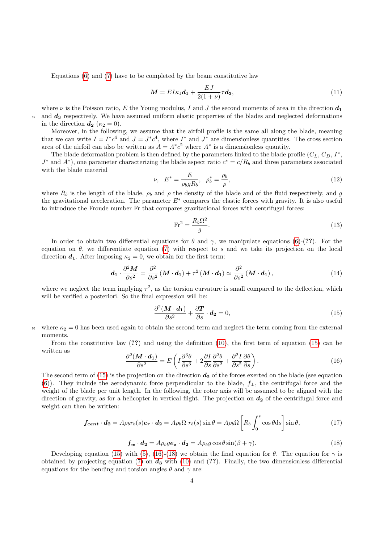Equations  $(6)$  and  $(7)$  have to be completed by the beam constitutive law

$$
\mathbf{M} = EI\kappa_1 \mathbf{d}_1 + \frac{EJ}{2(1+\nu)} \tau \mathbf{d}_3,\tag{11}
$$

where  $\nu$  is the Poisson ratio, E the Young modulus, I and J the second moments of area in the direction  $d_1$  $65$  and  $d_3$  respectively. We have assumed uniform elastic properties of the blades and neglected deformations in the direction  $d_2$  ( $\kappa_2 = 0$ ).

Moreover, in the following, we assume that the airfoil profile is the same all along the blade, meaning that we can write  $I = I^*c^4$  and  $J = J^*c^4$ , where  $I^*$  and  $J^*$  are dimensionless quantities. The cross section area of the airfoil can also be written as  $A = A^*c^2$  where  $A^*$  is a dimensionless quantity.

The blade deformation problem is then defined by the parameters linked to the blade profile  $(C_L, C_D, I^*)$  $J^*$  and  $A^*$ ), one parameter characterizing the blade aspect ratio  $c^* = c/R_b$  and three parameters associated with the blade material

$$
\nu, \quad E^* = \frac{E}{\rho_b g R_b}, \quad \rho_b^* = \frac{\rho_b}{\rho}, \tag{12}
$$

where  $R_b$  is the length of the blade,  $\rho_b$  and  $\rho$  the density of the blade and of the fluid respectively, and g the gravitational acceleration. The parameter  $E^*$  compares the elastic forces with gravity. It is also useful to introduce the Froude number Fr that compares gravitational forces with centrifugal forces:

<span id="page-3-3"></span>
$$
\text{Fr}^2 = \frac{R_b \Omega^2}{g}.\tag{13}
$$

In order to obtain two differential equations for  $\theta$  and  $\gamma$ , we manipulate equations [\(6\)](#page-2-1)-(??). For the equation on  $\theta$ , we differentiate equation [\(7\)](#page-2-1) with respect to s and we take its projection on the local direction  $d_1$ . After imposing  $\kappa_2 = 0$ , we obtain for the first term:

$$
\mathbf{d_1} \cdot \frac{\partial^2 M}{\partial s^2} = \frac{\partial^2}{\partial s^2} \left( \mathbf{M} \cdot \mathbf{d_1} \right) + \tau^2 \left( \mathbf{M} \cdot \mathbf{d_1} \right) \simeq \frac{\partial^2}{\partial s^2} \left( \mathbf{M} \cdot \mathbf{d_1} \right),\tag{14}
$$

where we neglect the term implying  $\tau^2$ , as the torsion curvature is small compared to the deflection, which will be verified a posteriori. So the final expression will be:

<span id="page-3-0"></span>
$$
\frac{\partial^2 (\mathbf{M} \cdot \mathbf{d}_1)}{\partial s^2} + \frac{\partial \mathbf{T}}{\partial s} \cdot \mathbf{d}_2 = 0, \tag{15}
$$

<sup>70</sup> where  $\kappa_2 = 0$  has been used again to obtain the second term and neglect the term coming from the external moments.

<span id="page-3-1"></span>From the constitutive law (??) and using the definition [\(10\)](#page-2-2), the first term of equation [\(15\)](#page-3-0) can be written as

$$
\frac{\partial^2 (\mathbf{M} \cdot \mathbf{d}_1)}{\partial s^2} = E \left( I \frac{\partial^3 \theta}{\partial s^3} + 2 \frac{\partial I}{\partial s} \frac{\partial^2 \theta}{\partial s^2} + \frac{\partial^2 I}{\partial s^2} \frac{\partial \theta}{\partial s} \right). \tag{16}
$$

The second term of  $(15)$  is the projection on the direction  $d_2$  of the forces exerted on the blade (see equation [\(6\)](#page-2-1)). They include the aerodynamic force perpendicular to the blade,  $f_{\perp}$ , the centrifugal force and the weight of the blade per unit length. In the following, the rotor axis will be assumed to be aligned with the direction of gravity, as for a helicopter in vertical flight. The projection on  $d_2$  of the centrifugal force and weight can then be written:

$$
\boldsymbol{f_{cent}} \cdot \boldsymbol{d_2} = A \rho_b r_b(s) \boldsymbol{e_r} \cdot \boldsymbol{d_2} = A \rho_b \Omega \ r_b(s) \sin \theta = A \rho_b \Omega \left[ R_b \int_0^s \cos \theta \, ds \right] \sin \theta, \tag{17}
$$

$$
f_{w} \cdot d_{2} = A \rho_{b} g e_{z} \cdot d_{2} = A \rho_{b} g \cos \theta \sin(\beta + \gamma).
$$
 (18)

<span id="page-3-2"></span>Developing equation [\(15\)](#page-3-0) with [\(5\)](#page-2-3), [\(16\)](#page-3-1)-[\(18\)](#page-3-2) we obtain the final equation for  $\theta$ . The equation for  $\gamma$  is obtained by projecting equation [\(7\)](#page-2-1) on  $d_3$  with [\(10\)](#page-2-2) and (??). Finally, the two dimensionless differential equations for the bending and torsion angles  $\theta$  and  $\gamma$  are: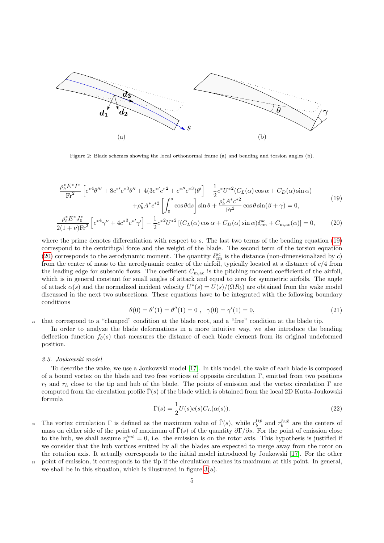

<span id="page-4-1"></span>Figure 2: Blade schemes showing the local orthonormal frame (a) and bending and torsion angles (b).

<span id="page-4-2"></span>
$$
\frac{\rho_b^* E^* I^*}{\text{Fr}^2} \left[ c^{*4} \theta''' + 8c^{*'} c^{*3} \theta'' + 4(3c^{*'} c^{*2} + c^{*''} c^{*3}) \theta' \right] - \frac{1}{2} c^* U^{*2} (C_L(\alpha) \cos \alpha + C_D(\alpha) \sin \alpha) \n+ \rho_b^* A^* c^{*2} \left[ \int_0^s \cos \theta \, \text{d}s \right] \sin \theta + \frac{\rho_b^* A^* c^{*2}}{\text{Fr}^2} \cos \theta \sin(\beta + \gamma) = 0,
$$
\n(19)

$$
\frac{\rho_b^* E^* J_0^*}{2(1+\nu)\text{Fr}^2} \left[ c^{*4} \gamma'' + 4c^{*3} c^{*'} \gamma' \right] - \frac{1}{2} c^{*2} U^{*2} \left[ (C_L(\alpha)\cos\alpha + C_D(\alpha)\sin\alpha) \delta_{\text{cm}}^{\text{ac}} + C_{\text{m,ac}}(\alpha) \right] = 0,\tag{20}
$$

where the prime denotes differentiation with respect to  $s$ . The last two terms of the bending equation [\(19\)](#page-4-2) correspond to the centrifugal force and the weight of the blade. The second term of the torsion equation [\(20\)](#page-4-2) corresponds to the aerodynamic moment. The quantity  $\delta_{\rm cm}^{\rm ac}$  is the distance (non-dimensionalized by c) from the center of mass to the aerodynamic center of the airfoil, typically located at a distance of  $c/4$  from the leading edge for subsonic flows. The coefficient  $C_{m,ac}$  is the pitching moment coefficient of the airfoil, which is in general constant for small angles of attack and equal to zero for symmetric airfoils. The angle of attack  $\alpha(s)$  and the normalized incident velocity  $U^*(s) = U(s)/(\Omega R_b)$  are obtained from the wake model discussed in the next two subsections. These equations have to be integrated with the following boundary conditions

$$
\theta(0) = \theta'(1) = \theta''(1) = 0 , \quad \gamma(0) = \gamma'(1) = 0,
$$
\n(21)

<sup>75</sup> that correspond to a "clamped" condition at the blade root, and a "free" condition at the blade tip.

In order to analyze the blade deformations in a more intuitive way, we also introduce the bending deflection function  $f_{\theta}(s)$  that measures the distance of each blade element from its original undeformed position.

## <span id="page-4-0"></span>2.3. Joukowski model

To describe the wake, we use a Joukowski model [\[17\]](#page-15-0). In this model, the wake of each blade is composed of a bound vortex on the blade and two free vortices of opposite circulation  $\Gamma$ , emitted from two positions  $r_t$  and  $r_h$  close to the tip and hub of the blade. The points of emission and the vortex circulation Γ are computed from the circulation profile  $\bar{\Gamma}(s)$  of the blade which is obtained from the local 2D Kutta-Joukowski formula

$$
\bar{\Gamma}(s) = \frac{1}{2}U(s)c(s)C_L(\alpha(s)).
$$
\n(22)

- <sup>80</sup> The vortex circulation  $\Gamma$  is defined as the maximum value of  $\bar{\Gamma}(s)$ , while  $r_b^{tip}$  and  $r_b^{hub}$  are the centers of mass on either side of the point of maximum of  $\bar{\Gamma}(s)$  of the quantity  $\partial \Gamma/\partial s$ . For the point of emission close to the hub, we shall assume  $r_b^{hub} = 0$ , i.e. the emission is on the rotor axis. This hypothesis is justified if we consider that the hub vortices emitted by all the blades are expected to merge away from the rotor on the rotation axis. It actually corresponds to the initial model introduced by Joukowski [\[17\]](#page-15-0). For the other
- <sup>85</sup> point of emission, it corresponds to the tip if the circulation reaches its maximum at this point. In general, we shall be in this situation, which is illustrated in figure [3\(](#page-5-0)a).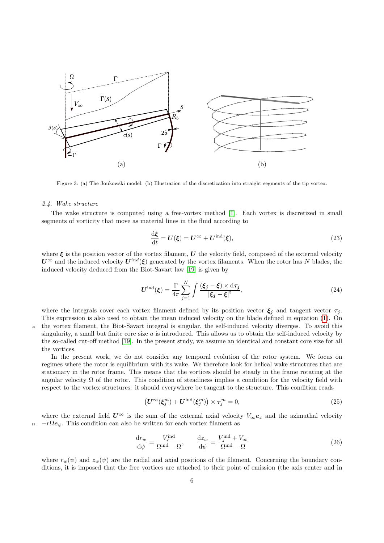

<span id="page-5-0"></span>Figure 3: (a) The Joukowski model. (b) Illustration of the discretization into straight segments of the tip vortex.

### 2.4. Wake structure

The wake structure is computed using a free-vortex method [\[1\]](#page-14-0). Each vortex is discretized in small segments of vorticity that move as material lines in the fluid according to

$$
\frac{\mathrm{d}\boldsymbol{\xi}}{\mathrm{d}t} = \boldsymbol{U}(\boldsymbol{\xi}) = \boldsymbol{U}^{\infty} + \boldsymbol{U}^{\text{ind}}(\boldsymbol{\xi}),\tag{23}
$$

where  $\xi$  is the position vector of the vortex filament, U the velocity field, composed of the external velocity  $U^{\infty}$  and the induced velocity  $U^{ind}(\xi)$  generated by the vortex filaments. When the rotor has N blades, the induced velocity deduced from the Biot-Savart law [\[19\]](#page-15-2) is given by

$$
U^{\text{ind}}(\xi) = \frac{\Gamma}{4\pi} \sum_{j=1}^{N} \int \frac{(\xi_j - \xi) \times d\tau_j}{|\xi_j - \xi|^2},
$$
\n(24)

where the integrals cover each vortex filament defined by its position vector  $\xi_j$  and tangent vector  $\tau_j$ . This expression is also used to obtain the mean induced velocity on the blade defined in equation [\(1\)](#page-1-1). On <sup>90</sup> the vortex filament, the Biot-Savart integral is singular, the self-induced velocity diverges. To avoid this singularity, a small but finite core size  $a$  is introduced. This allows us to obtain the self-induced velocity by the so-called cut-off method [\[19\]](#page-15-2). In the present study, we assume an identical and constant core size for all the vortices.

In the present work, we do not consider any temporal evolution of the rotor system. We focus on regimes where the rotor is equilibrium with its wake. We therefore look for helical wake structures that are stationary in the rotor frame. This means that the vortices should be steady in the frame rotating at the angular velocity  $\Omega$  of the rotor. This condition of steadiness implies a condition for the velocity field with respect to the vortex structures: it should everywhere be tangent to the structure. This condition reads

$$
\left(\boldsymbol{U}^{\infty}(\boldsymbol{\xi}_{j}^{m}) + \boldsymbol{U}^{\text{ind}}(\boldsymbol{\xi}_{j}^{m})\right) \times \boldsymbol{\tau}_{j}^{m} = 0, \tag{25}
$$

where the external field  $U^{\infty}$  is the sum of the external axial velocity  $V_{\infty}e_{z}$  and the azimuthal velocity  $\eta_{95}$  –r $\Omega e_{\psi}$ . This condition can also be written for each vortex filament as

$$
\frac{dr_w}{d\psi} = \frac{V_r^{\text{ind}}}{\Omega^{\text{ind}} - \Omega}, \qquad \frac{dz_w}{d\psi} = \frac{V_z^{\text{ind}} + V_\infty}{\Omega^{\text{ind}} - \Omega} \tag{26}
$$

where  $r_w(\psi)$  and  $z_w(\psi)$  are the radial and axial positions of the filament. Concerning the boundary conditions, it is imposed that the free vortices are attached to their point of emission (the axis center and in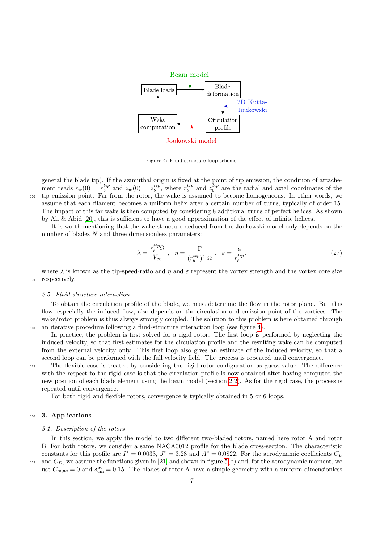

<span id="page-6-1"></span>Figure 4: Fluid-structure loop scheme.

general the blade tip). If the azimuthal origin is fixed at the point of tip emission, the condition of attachement reads  $r_w(0) = r_b^{tip}$  and  $z_w(0) = z_b^{tip}$ , where  $r_b^{tip}$  and  $z_b^{tip}$  are the radial and axial coordinates of the <sup>100</sup> tip emission point. Far from the rotor, the wake is assumed to become homogeneous. In other words, we assume that each filament becomes a uniform helix after a certain number of turns, typically of order 15. The impact of this far wake is then computed by considering 8 additional turns of perfect helices. As shown by Ali & Abid [\[20\]](#page-15-3), this is sufficient to have a good approximation of the effect of infinite helices.

It is worth mentioning that the wake structure deduced from the Joukowski model only depends on the number of blades  $N$  and three dimensionless parameters:

$$
\lambda = \frac{r_b^{tip}\Omega}{V_{\infty}} \ , \ \ \eta = \frac{\Gamma}{(r_b^{tip})^2 \ \Omega} \ , \ \ \varepsilon = \frac{a}{r_b^{tip}}, \tag{27}
$$

where  $\lambda$  is known as the tip-speed-ratio and  $\eta$  and  $\varepsilon$  represent the vortex strength and the vortex core size <sup>105</sup> respectively.

#### 2.5. Fluid-structure interaction

To obtain the circulation profile of the blade, we must determine the flow in the rotor plane. But this flow, especially the induced flow, also depends on the circulation and emission point of the vortices. The wake/rotor problem is thus always strongly coupled. The solution to this problem is here obtained through <sup>110</sup> an iterative procedure following a fluid-structure interaction loop (see figure [4\)](#page-6-1).

In practice, the problem is first solved for a rigid rotor. The first loop is performed by neglecting the induced velocity, so that first estimates for the circulation profile and the resulting wake can be computed from the external velocity only. This first loop also gives an estimate of the induced velocity, so that a second loop can be performed with the full velocity field. The process is repeated until convergence.

<sup>115</sup> The flexible case is treated by considering the rigid rotor configuration as guess value. The difference with the respect to the rigid case is that the circulation profile is now obtained after having computed the new position of each blade element using the beam model (section [2.2\)](#page-2-4). As for the rigid case, the process is repeated until convergence.

For both rigid and flexible rotors, convergence is typically obtained in 5 or 6 loops.

# <span id="page-6-0"></span><sup>120</sup> 3. Applications

### 3.1. Description of the rotors

In this section, we apply the model to two different two-bladed rotors, named here rotor A and rotor B. For both rotors, we consider a same NACA0012 profile for the blade cross-section. The characteristic constants for this profile are  $I^* = 0.0033$ ,  $J^* = 3.28$  and  $A^* = 0.0822$ . For the aerodynamic coefficients  $C_L$ and  $C_D$ , we assume the functions given in [\[21\]](#page-15-4) and shown in figure [5\(](#page-7-0)b) and, for the aerodynamic moment, we

use  $C_{\text{m,ac}} = 0$  and  $\delta_{\text{cm}}^{\text{ac}} = 0.15$ . The blades of rotor A have a simple geometry with a uniform dimensionless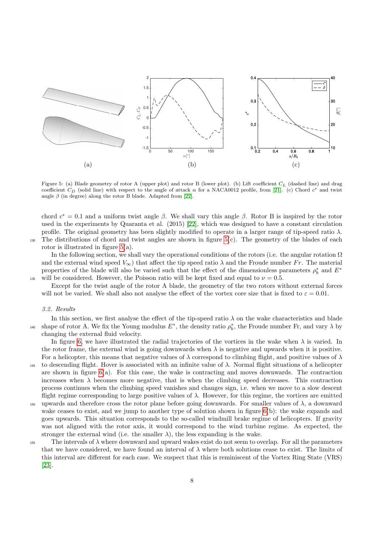

<span id="page-7-0"></span>Figure 5: (a) Blade geometry of rotor A (upper plot) and rotor B (lower plot). (b) Lift coefficient  $C_L$  (dashed line) and drag coefficient  $C_D$  (solid line) with respect to the angle of attack  $\alpha$  for a NACA0012 profile, from [\[21\]](#page-15-4). (c) Chord  $c^*$  and twist angle  $\beta$  (in degree) along the rotor B blade. Adapted from [\[22\]](#page-15-5).

chord  $c^* = 0.1$  and a uniform twist angle  $\beta$ . We shall vary this angle  $\beta$ . Rotor B is inspired by the rotor used in the experiments by Quaranta et al. (2015) [\[22\]](#page-15-5), which was designed to have a constant circulation profile. The original geometry has been slightly modified to operate in a larger range of tip-speed ratio  $\lambda$ . <sup>130</sup> The distributions of chord and twist angles are shown in figure [5\(](#page-7-0)c). The geometry of the blades of each rotor is illustrated in figure [5\(](#page-7-0)a).

In the following section, we shall vary the operational conditions of the rotors (i.e. the angular rotation  $\Omega$ ) and the external wind speed  $V_{\infty}$ ) that affect the tip speed ratio  $\lambda$  and the Froude number Fr. The material properties of the blade will also be varied such that the effect of the dimensionless parameters  $\rho_b^*$  and  $E^*$ 135 will be considered. However, the Poisson ratio will be kept fixed and equal to  $\nu = 0.5$ .

Except for the twist angle of the rotor A blade, the geometry of the two rotors without external forces will not be varied. We shall also not analyse the effect of the vortex core size that is fixed to  $\varepsilon = 0.01$ .

# 3.2. Results

In this section, we first analyse the effect of the tip-speed ratio  $\lambda$  on the wake characteristics and blade <sup>140</sup> shape of rotor A. We fix the Young modulus  $E^*$ , the density ratio  $\rho_b^*$ , the Froude number Fr, and vary  $\lambda$  by changing the external fluid velocity.

In figure [6,](#page-8-0) we have illustrated the radial trajectories of the vortices in the wake when  $\lambda$  is varied. In the rotor frame, the external wind is going downwards when  $\lambda$  is negative and upwards when it is positive. For a helicopter, this means that negative values of  $\lambda$  correspond to climbing flight, and positive values of  $\lambda$ 

- 145 to descending flight. Hover is associated with an infinite value of  $\lambda$ . Normal flight situations of a helicopter are shown in figure  $6(a)$ . For this case, the wake is contracting and moves downwards. The contraction increases when  $\lambda$  becomes more negative, that is when the climbing speed decreases. This contraction process continues when the climbing speed vanishes and changes sign, i.e. when we move to a slow descent flight regime corresponding to large positive values of  $\lambda$ . However, for this regime, the vortices are emitted
- 150 upwards and therefore cross the rotor plane before going downwards. For smaller values of  $\lambda$ , a downward wake ceases to exist, and we jump to another type of solution shown in figure [6\(](#page-8-0)b): the wake expands and goes upwards. This situation corresponds to the so-called windmill brake regime of helicopters. If gravity was not aligned with the rotor axis, it would correspond to the wind turbine regime. As expected, the stronger the external wind (i.e. the smaller  $\lambda$ ), the less expanding is the wake.
- 155 The intervals of  $\lambda$  where downward and upward wakes exist do not seem to overlap. For all the parameters that we have considered, we have found an interval of  $\lambda$  where both solutions cease to exist. The limits of this interval are different for each case. We suspect that this is reminiscent of the Vortex Ring State (VRS) [\[23\]](#page-15-6).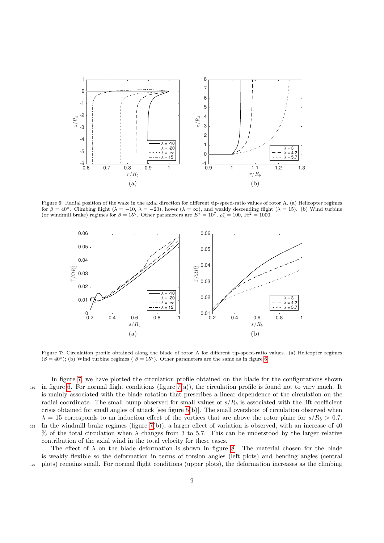

<span id="page-8-0"></span>Figure 6: Radial position of the wake in the axial direction for different tip-speed-ratio values of rotor A. (a) Helicopter regimes for  $\beta = 40^\circ$ . Climbing flight ( $\lambda = -10$ ,  $\lambda = -20$ ), hover ( $\lambda = \infty$ ), and weakly descending flight ( $\lambda = 15$ ). (b) Wind turbine (or windmill brake) regimes for  $\beta = 15^{\circ}$ . Other parameters are  $E^* = 10^7$ ,  $\rho_b^* = 100$ , Fr<sup>2</sup> = 1000.



<span id="page-8-1"></span>Figure 7: Circulation profile obtained along the blade of rotor A for different tip-speed-ratio values. (a) Helicopter regimes  $(\beta = 40^{\circ})$ ; (b) Wind turbine regimes (  $\beta = 15^{\circ}$ ). Other parameters are the same as in figure [6.](#page-8-0)

In figure [7,](#page-8-1) we have plotted the circulation profile obtained on the blade for the configurations shown <sup>160</sup> in figure [6.](#page-8-0) For normal flight conditions (figure [7\(](#page-8-1)a)), the circulation profile is found not to vary much. It is mainly associated with the blade rotation that prescribes a linear dependence of the circulation on the radial coordinate. The small bump observed for small values of  $s/R_b$  is associated with the lift coefficient crisis obtained for small angles of attack [see figure [5\(](#page-7-0)b)]. The small overshoot of circulation observed when  $\lambda = 15$  corresponds to an induction effect of the vortices that are above the rotor plane for  $s/R_b > 0.7$ . <sup>165</sup> In the windmill brake regimes (figure [7\(](#page-8-1)b)), a larger effect of variation is observed, with an increase of 40 % of the total circulation when  $\lambda$  changes from 3 to 5.7. This can be understood by the larger relative contribution of the axial wind in the total velocity for these cases.

The effect of  $\lambda$  on the blade deformation is shown in figure [8.](#page-9-0) The material chosen for the blade is weakly flexible so the deformation in terms of torsion angles (left plots) and bending angles (central <sup>170</sup> plots) remains small. For normal flight conditions (upper plots), the deformation increases as the climbing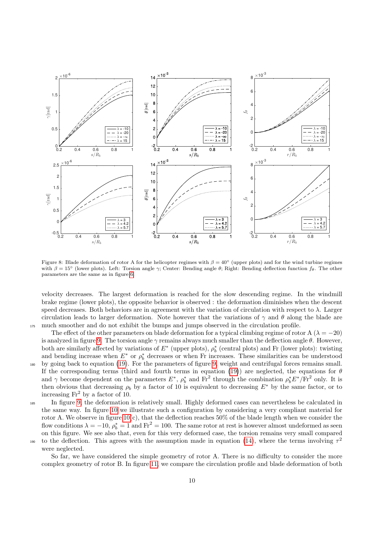

<span id="page-9-0"></span>Figure 8: Blade deformation of rotor A for the helicopter regimes with  $\beta = 40^\circ$  (upper plots) and for the wind turbine regimes with  $\beta = 15^{\circ}$  (lower plots). Left: Torsion angle  $\gamma$ ; Center: Bending angle  $\theta$ ; Right: Bending deflection function  $f_{\theta}$ . The other parameters are the same as in figure [6.](#page-8-0)

velocity decreases. The largest deformation is reached for the slow descending regime. In the windmill brake regime (lower plots), the opposite behavior is observed : the deformation diminishes when the descent speed decreases. Both behaviors are in agreement with the variation of circulation with respect to  $\lambda$ . Larger circulation leads to larger deformation. Note however that the variations of  $\gamma$  and  $\theta$  along the blade are <sup>175</sup> much smoother and do not exhibit the bumps and jumps observed in the circulation profile.

The effect of the other parameters on blade deformation for a typical climbing regime of rotor A ( $\lambda = -20$ ) is analyzed in figure [9.](#page-10-0) The torsion angle  $\gamma$  remains always much smaller than the deflection angle  $\theta$ . However, both are similarly affected by variations of  $E^*$  (upper plots),  $\rho_b^*$  (central plots) and Fr (lower plots): twisting and bending increase when  $E^*$  or  $\rho_b^*$  decreases or when Fr increases. These similarities can be understood <sup>180</sup> by going back to equation [\(19\)](#page-4-2). For the parameters of figure [9,](#page-10-0) weight and centrifugal forces remains small.

- If the corresponding terms (third and fourth terms in equation [\(19\)](#page-4-2)) are neglected, the equations for  $\theta$ and  $\gamma$  become dependent on the parameters  $E^*$ ,  $\rho_b^*$  and  $Fr^2$  through the combination  $\rho_b^* E^* / Fr^2$  only. It is then obvious that decreasing  $\rho_b$  by a factor of 10 is equivalent to decreasing  $E^*$  by the same factor, or to increasing  $Fr^2$  by a factor of 10.
- <sup>185</sup> In figure [9,](#page-10-0) the deformation is relatively small. Highly deformed cases can nevertheless be calculated in the same way. In figure [10](#page-11-0) we illustrate such a configuration by considering a very compliant material for rotor A. We observe in figure  $10(c)$ , that the deflection reaches  $50\%$  of the blade length when we consider the flow conditions  $\lambda = -10$ ,  $\rho_b^* = 1$  and  $Fr^2 = 100$ . The same rotor at rest is however almost undeformed as seen on this figure. We see also that, even for this very deformed case, the torsion remains very small compared to the deflection. This agrees with the assumption made in equation [\(14\)](#page-3-3), where the terms involving  $\tau^2$ 190

were neglected.

So far, we have considered the simple geometry of rotor A. There is no difficulty to consider the more complex geometry of rotor B. In figure [11,](#page-12-0) we compare the circulation profile and blade deformation of both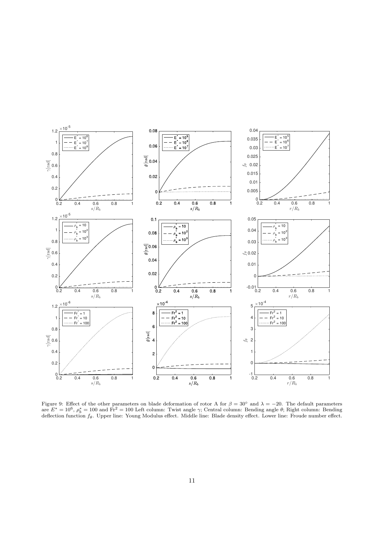

<span id="page-10-0"></span>Figure 9: Effect of the other parameters on blade deformation of rotor A for  $\beta = 30^\circ$  and  $\lambda = -20$ . The default parameters are  $E^* = 10^6$ ,  $\rho_b^* = 100$  and  $\text{Fr}^2 = 100$  Left column: Twist angle  $\gamma$ ; Central column: Bending angle  $\theta$ ; Right column: Bending deflection function  $f_\theta$ . Upper line: Young Modulus effect. Middle line: Blade density effect. Lower line: Froude number effect.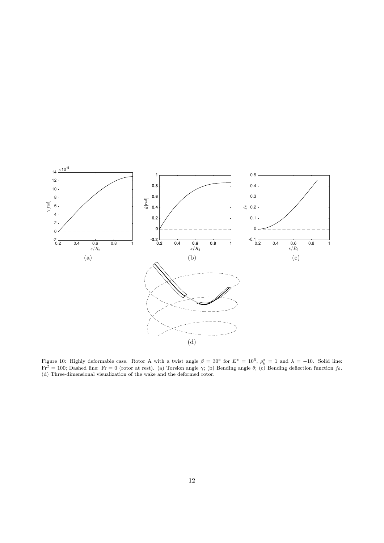

<span id="page-11-0"></span>Figure 10: Highly deformable case. Rotor A with a twist angle  $\beta = 30^{\circ}$  for  $E^* = 10^6$ ,  $\rho_b^* = 1$  and  $\lambda = -10$ . Solid line:  $Fr^2 = 100$ ; Dashed line: Fr = 0 (rotor at rest). (a) Torsion angle  $\gamma$ ; (b) Bending angle  $\theta$ ; (c) Bending deflection function  $f_{\theta}$ . (d) Three-dimensional visualization of the wake and the deformed rotor.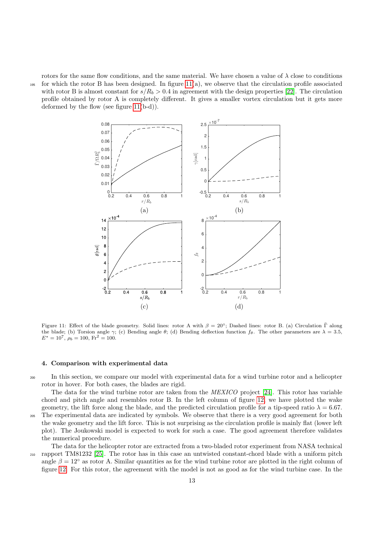rotors for the same flow conditions, and the same material. We have chosen a value of  $\lambda$  close to conditions 195 for which the rotor B has been designed. In figure  $11(a)$ , we observe that the circulation profile associated with rotor B is almost constant for  $s/R_b > 0.4$  in agreement with the design properties [\[22\]](#page-15-5). The circulation profile obtained by rotor A is completely different. It gives a smaller vortex circulation but it gets more deformed by the flow (see figure [11\(](#page-12-0)b-d)).



<span id="page-12-0"></span>Figure 11: Effect of the blade geometry. Solid lines: rotor A with  $\beta = 20^\circ$ ; Dashed lines: rotor B. (a) Circulation  $\overline{\Gamma}$  along the blade; (b) Torsion angle  $\gamma$ ; (c) Bending angle  $\theta$ ; (d) Bending deflection function  $f_{\theta}$ . The other parameters are  $\lambda = 3.5$ ,  $E^* = 10^7$ ,  $\rho_b = 100$ ,  $Fr^2 = 100$ .

# 4. Comparison with experimental data

<sup>200</sup> In this section, we compare our model with experimental data for a wind turbine rotor and a helicopter rotor in hover. For both cases, the blades are rigid.

The data for the wind turbine rotor are taken from the MEXICO project [\[24\]](#page-15-7). This rotor has variable chord and pitch angle and resembles rotor B. In the left column of figure [12,](#page-13-0) we have plotted the wake geometry, the lift force along the blade, and the predicted circulation profile for a tip-speed ratio  $\lambda = 6.67$ .

<sup>205</sup> The experimental data are indicated by symbols. We observe that there is a very good agreement for both the wake geometry and the lift force. This is not surprising as the circulation profile is mainly flat (lower left plot). The Joukowski model is expected to work for such a case. The good agreement therefore validates the numerical procedure.

The data for the helicopter rotor are extracted from a two-bladed rotor experiment from NASA technical <sup>210</sup> rapport TM81232 [\[25\]](#page-15-8). The rotor has in this case an untwisted constant-chord blade with a uniform pitch angle  $\beta = 12^{\circ}$  as rotor A. Similar quantities as for the wind turbine rotor are plotted in the right column of figure [12.](#page-13-0) For this rotor, the agreement with the model is not as good as for the wind turbine case. In the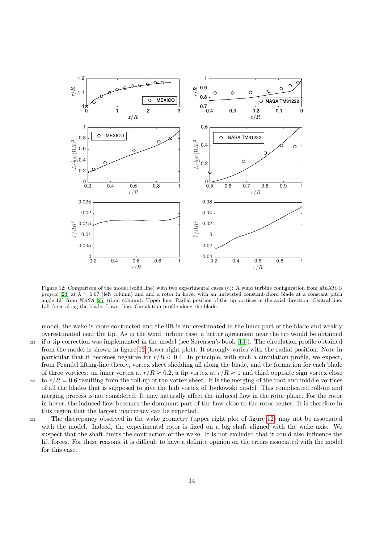

<span id="page-13-0"></span>Figure 12: Comparison of the model (solid line) with two experimental cases (⊙): A wind turbine configuration from MEXICO project [\[24\]](#page-15-7) at  $\lambda = 6.67$  (left column) and and a rotor in hover with an untwisted constant-chord blade at a constant pitch angle 12° from NASA [\[25\]](#page-15-8) (right column). Upper line: Radial position of the tip vortices in the axial direction. Central line: Lift force along the blade. Lower line: Circulation profile along the blade.

model, the wake is more contracted and the lift is underestimated in the inner part of the blade and weakly overestimated near the tip. As in the wind turbine case, a better agreement near the tip would be obtained <sup>215</sup> if a tip correction was implemented in the model (see Sørensen's book [\[14\]](#page-14-13)). The circulation profile obtained from the model is shown in figure [12](#page-13-0) (lower right plot). It strongly varies with the radial position. Note in

- particular that it becomes negative for  $r/R < 0.4$ . In principle, with such a circulation profile, we expect, from Prandtl lifting-line theory, vortex sheet shedding all along the blade, and the formation for each blade of three vortices: an inner vortex at  $r/R \approx 0.2$ , a tip vortex at  $r/R \approx 1$  and third opposite sign vortex close  $220 \text{ to } r/R = 0.6 \text{ resulting from the roll-up of the vortex sheet. It is the merging of the root and middle vortices.}$
- of all the blades that is supposed to give the hub vortex of Joukowski model. This complicated roll-up and merging process is not considered. It may naturally affect the induced flow in the rotor plane. For the rotor in hover, the induced flow becomes the dominant part of the flow close to the rotor center. It is therefore in this region that the largest inaccuracy can be expected.
- <sup>225</sup> The discrepancy observed in the wake geometry (upper right plot of figure [12\)](#page-13-0) may not be associated with the model. Indeed, the experimental rotor is fixed on a big shaft aligned with the wake axis. We suspect that the shaft limits the contraction of the wake. It is not excluded that it could also influence the lift forces. For these reasons, it is difficult to have a definite opinion on the errors associated with the model for this case.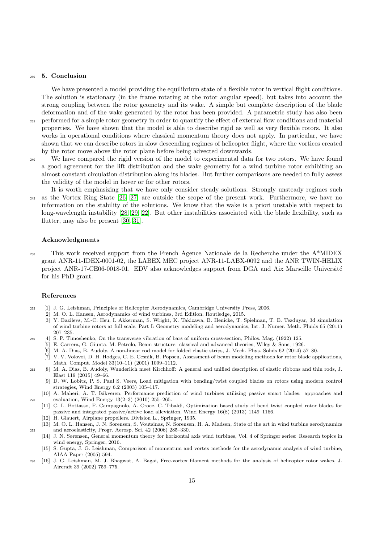## <span id="page-14-16"></span><sup>230</sup> 5. Conclusion

We have presented a model providing the equilibrium state of a flexible rotor in vertical flight conditions. The solution is stationary (in the frame rotating at the rotor angular speed), but takes into account the strong coupling between the rotor geometry and its wake. A simple but complete description of the blade deformation and of the wake generated by the rotor has been provided. A parametric study has also been

- <sup>235</sup> performed for a simple rotor geometry in order to quantify the effect of external flow conditions and material properties. We have shown that the model is able to describe rigid as well as very flexible rotors. It also works in operational conditions where classical momentum theory does not apply. In particular, we have shown that we can describe rotors in slow descending regimes of helicopter flight, where the vortices created by the rotor move above the rotor plane before being advected downwards.
- <sup>240</sup> We have compared the rigid version of the model to experimental data for two rotors. We have found a good agreement for the lift distribution and the wake geometry for a wind turbine rotor exhibiting an almost constant circulation distribution along its blades. But further comparisons are needed to fully assess the validity of the model in hover or for other rotors.

It is worth emphasizing that we have only consider steady solutions. Strongly unsteady regimes such

<sup>245</sup> as the Vortex Ring State [\[26,](#page-15-9) [27\]](#page-15-10) are outside the scope of the present work. Furthermore, we have no information on the stability of the solutions. We know that the wake is a priori unstable with respect to long-wavelength instability [\[28,](#page-15-11) [29,](#page-15-12) [22\]](#page-15-5). But other instabilities associated with the blade flexibility, such as flutter, may also be present [\[30,](#page-15-13) [31\]](#page-15-14).

# Acknowledgments

<sup>250</sup> This work received support from the French Agence Nationale de la Recherche under the A\*MIDEX grant ANR-11-IDEX-0001-02, the LABEX MEC project ANR-11-LABX-0092 and the ANR TWIN-HELIX project ANR-17-CE06-0018-01. EDV also acknowledges support from DGA and Aix Marseille Université for his PhD grant.

## <span id="page-14-0"></span>References

- <span id="page-14-2"></span><span id="page-14-1"></span><sup>255</sup> [1] J. G. Leishman, Principles of Helicopter Aerodynamics, Cambridge University Press, 2006.
	- [2] M. O. L. Hansen, Aerodynamics of wind turbines, 3rd Edition, Routledge, 2015.
		- [3] Y. Bazilevs, M.-C. Hsu, I. Akkerman, S. Wright, K. Takizawa, B. Henicke, T. Spielman, T. E. Tezduyar, 3d simulation of wind turbine rotors at full scale. Part I: Geometry modeling and aerodynamics, Int. J. Numer. Meth. Fluids 65 (2011) 207–235.
- <span id="page-14-5"></span><span id="page-14-4"></span><span id="page-14-3"></span><sup>260</sup> [4] S. P. Timoshenko, On the transverse vibration of bars of uniform cross-section, Philos. Mag. (1922) 125.
	- [5] E. Carrera, G. Giunta, M. Petrolo, Beam structure: classical and advanced theories, Wiley & Sons, 1926.
	- [6] M. A. Dias, B. Audoly, A non-linear rod model for folded elastic strips, J. Mech. Phys. Solids 62 (2014) 57–80.
	- [7] V. V. Volovoi, D. H. Hodges, C. E. Cesnik, B. Popscu, Assessment of beam modeling methods for rotor blade applications, Math. Comput. Model 33(10–11) (2001) 1099–1112.
- <span id="page-14-8"></span><span id="page-14-7"></span><span id="page-14-6"></span><sup>265</sup> [8] M. A. Dias, B. Audoly, Wunderlich meet Kirchhoff: A general and unified description of elastic ribbons and thin rods, J. Elast 119 (2015) 49–66.
	- [9] D. W. Lobitz, P. S. Paul S. Veers, Load mitigation with bending/twist coupled blades on rotors using modern control strategies, Wind Energy 6.2 (2003) 105–117.
- <span id="page-14-10"></span><span id="page-14-9"></span>[10] A. Maheri, A. T. Isikveren, Performance prediction of wind turbines utilizing passive smart blades: approaches and <sup>270</sup> evaluation, Wind Energy 13(2–3) (2010) 255–265.
	- [11] C. L. Bottasso, F. Campagnolo, A. Croce, C. Tibaldi, Optimization based study of bend twist coupled rotor blades for passive and integrated passive/active load alleviation, Wind Energy 16(8) (2013) 1149–1166.
	- [12] H. Glauert, Airplane propellers. Division L., Springer, 1935.
- <span id="page-14-13"></span><span id="page-14-12"></span><span id="page-14-11"></span>[13] M. O. L. Hansen, J. N. Sorensen, S. Voutsinas, N. Sorensen, H. A. Madsen, State of the art in wind turbine aerodynamics <sup>275</sup> and aeroelasticity, Progr. Aerosp. Sci. 42 (2006) 285–330.
	- [14] J. N. Sørensen, General momentum theory for horizontal axis wind turbines, Vol. 4 of Springer series: Research topics in wind energy, Springer, 2016.
	- [15] S. Gupta, J. G. Leishman, Comparison of momentum and vortex methods for the aerodynamic analysis of wind turbine, AIAA Paper (2005) 594.
- <span id="page-14-15"></span><span id="page-14-14"></span><sup>280</sup> [16] J. G. Leishman, M. J. Bhagwat, A. Bagai, Free-vortex filament methods for the analysis of helicopter rotor wakes, J. Aircraft 39 (2002) 759–775.